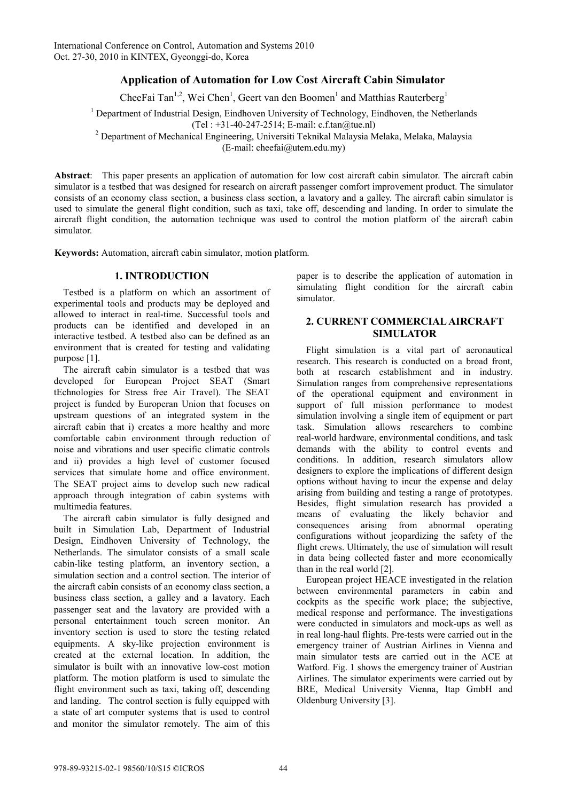# **Application of Automation for Low Cost Aircraft Cabin Simulator**

CheeFai Tan<sup>1,2</sup>, Wei Chen<sup>1</sup>, Geert van den Boomen<sup>1</sup> and Matthias Rauterberg<sup>1</sup>

<sup>1</sup> Department of Industrial Design, Eindhoven University of Technology, Eindhoven, the Netherlands

 $(Tel : +31-40-247-2514; E-mail: c.f.tan@true.nl)$ 

Department of Mechanical Engineering, Universiti Teknikal Malaysia Melaka, Melaka, Malaysia

(E-mail: cheefai@utem.edu.my)

**Abstract**: This paper presents an application of automation for low cost aircraft cabin simulator. The aircraft cabin simulator is a testbed that was designed for research on aircraft passenger comfort improvement product. The simulator consists of an economy class section, a business class section, a lavatory and a galley. The aircraft cabin simulator is used to simulate the general flight condition, such as taxi, take off, descending and landing. In order to simulate the aircraft flight condition, the automation technique was used to control the motion platform of the aircraft cabin simulator.

**Keywords:** Automation, aircraft cabin simulator, motion platform.

# **1. INTRODUCTION**

Testbed is a platform on which an assortment of experimental tools and products may be deployed and allowed to interact in real-time. Successful tools and products can be identified and developed in an interactive testbed. A testbed also can be defined as an environment that is created for testing and validating purpose [1].

The aircraft cabin simulator is a testbed that was developed for European Project SEAT (Smart tEchnologies for Stress free Air Travel). The SEAT project is funded by Europeran Union that focuses on upstream questions of an integrated system in the aircraft cabin that i) creates a more healthy and more comfortable cabin environment through reduction of noise and vibrations and user specific climatic controls and ii) provides a high level of customer focused services that simulate home and office environment. The SEAT project aims to develop such new radical approach through integration of cabin systems with multimedia features.

The aircraft cabin simulator is fully designed and built in Simulation Lab, Department of Industrial Design, Eindhoven University of Technology, the Netherlands. The simulator consists of a small scale cabin-like testing platform, an inventory section, a simulation section and a control section. The interior of the aircraft cabin consists of an economy class section, a business class section, a galley and a lavatory. Each passenger seat and the lavatory are provided with a personal entertainment touch screen monitor. An inventory section is used to store the testing related equipments. A sky-like projection environment is created at the external location. In addition, the simulator is built with an innovative low-cost motion platform. The motion platform is used to simulate the flight environment such as taxi, taking off, descending and landing. The control section is fully equipped with a state of art computer systems that is used to control and monitor the simulator remotely. The aim of this paper is to describe the application of automation in simulating flight condition for the aircraft cabin simulator.

## **2. CURRENT COMMERCIAL AIRCRAFT SIMULATOR**

Flight simulation is a vital part of aeronautical research. This research is conducted on a broad front, both at research establishment and in industry. Simulation ranges from comprehensive representations of the operational equipment and environment in support of full mission performance to modest simulation involving a single item of equipment or part task. Simulation allows researchers to combine real-world hardware, environmental conditions, and task demands with the ability to control events and conditions. In addition, research simulators allow designers to explore the implications of different design options without having to incur the expense and delay arising from building and testing a range of prototypes. Besides, flight simulation research has provided a means of evaluating the likely behavior and consequences arising from abnormal operating configurations without jeopardizing the safety of the flight crews. Ultimately, the use of simulation will result in data being collected faster and more economically than in the real world [2].

European project HEACE investigated in the relation between environmental parameters in cabin and cockpits as the specific work place; the subjective, medical response and performance. The investigations were conducted in simulators and mock-ups as well as in real long-haul flights. Pre-tests were carried out in the emergency trainer of Austrian Airlines in Vienna and main simulator tests are carried out in the ACE at Watford. Fig. 1 shows the emergency trainer of Austrian Airlines. The simulator experiments were carried out by BRE, Medical University Vienna, Itap GmbH and Oldenburg University [3].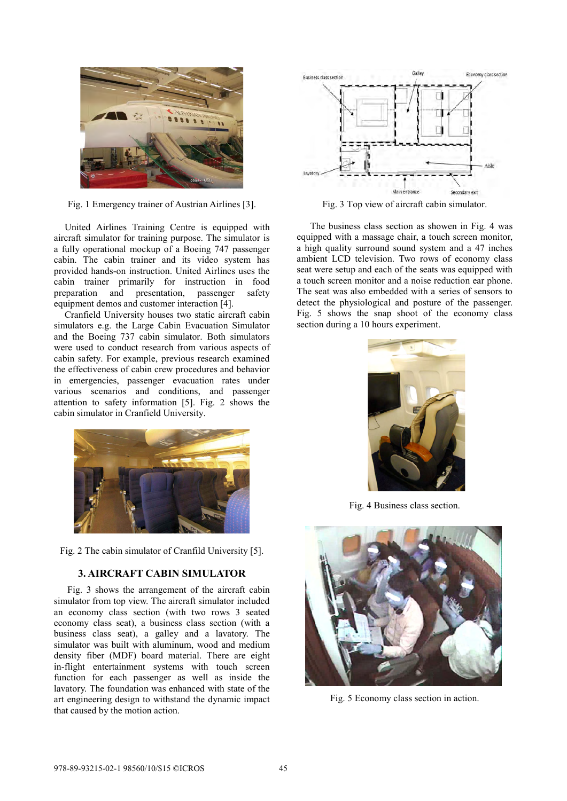

Fig. 1 Emergency trainer of Austrian Airlines [3].

United Airlines Training Centre is equipped with aircraft simulator for training purpose. The simulator is a fully operational mockup of a Boeing 747 passenger cabin. The cabin trainer and its video system has provided hands-on instruction. United Airlines uses the cabin trainer primarily for instruction in food preparation and presentation, passenger safety equipment demos and customer interaction [4].

Cranfield University houses two static aircraft cabin simulators e.g. the Large Cabin Evacuation Simulator and the Boeing 737 cabin simulator. Both simulators were used to conduct research from various aspects of cabin safety. For example, previous research examined the effectiveness of cabin crew procedures and behavior in emergencies, passenger evacuation rates under various scenarios and conditions, and passenger attention to safety information [5]. Fig. 2 shows the cabin simulator in Cranfield University.



Fig. 2 The cabin simulator of Cranfild University [5].

## **3. AIRCRAFT CABIN SIMULATOR**

Fig. 3 shows the arrangement of the aircraft cabin simulator from top view. The aircraft simulator included an economy class section (with two rows 3 seated economy class seat), a business class section (with a business class seat), a galley and a lavatory. The simulator was built with aluminum, wood and medium density fiber (MDF) board material. There are eight in-flight entertainment systems with touch screen function for each passenger as well as inside the lavatory. The foundation was enhanced with state of the art engineering design to withstand the dynamic impact that caused by the motion action.



Fig. 3 Top view of aircraft cabin simulator.

The business class section as showen in Fig. 4 was equipped with a massage chair, a touch screen monitor, a high quality surround sound system and a 47 inches ambient LCD television. Two rows of economy class seat were setup and each of the seats was equipped with a touch screen monitor and a noise reduction ear phone. The seat was also embedded with a series of sensors to detect the physiological and posture of the passenger. Fig. 5 shows the snap shoot of the economy class section during a 10 hours experiment.



Fig. 4 Business class section.



Fig. 5 Economy class section in action.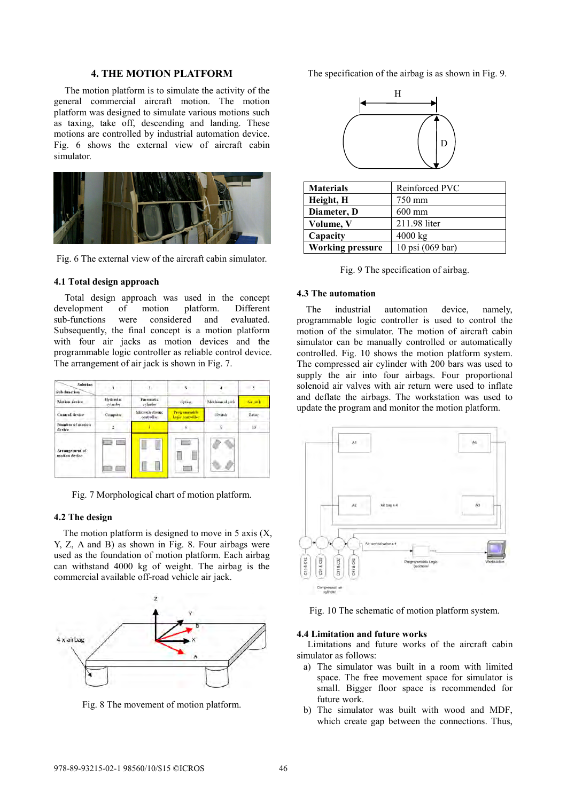## **4. THE MOTION PLATFORM**

The motion platform is to simulate the activity of the general commercial aircraft motion. The motion platform was designed to simulate various motions such as taxing, take off, descending and landing. These motions are controlled by industrial automation device. Fig. 6 shows the external view of aircraft cabin simulator.



Fig. 6 The external view of the aircraft cabin simulator.

#### **4.1 Total design approach**

Total design approach was used in the concept development of motion platform. Different sub-functions were considered and evaluated. Subsequently, the final concept is a motion platform with four air jacks as motion devices and the programmable logic controller as reliable control device. The arrangement of air jack is shown in Fig. 7.

| Solution<br>Sub-function        |                       | $\overline{\phantom{a}}$      |                                  |                 | 3        |
|---------------------------------|-----------------------|-------------------------------|----------------------------------|-----------------|----------|
| Motion device                   | Hydraulic<br>cylinder | Pneumatic<br>cylinder         | Spring.                          | Mechanical rack | Air rack |
| Cantrol device                  | Computer              | Microelectronic<br>controller | Programmable<br>logic controller | Switch          | Relay    |
| Number of motion<br>device      |                       |                               |                                  | 8               | iū       |
| Arrangement of<br>motion device | ÷                     |                               | m                                |                 |          |

Fig. 7 Morphological chart of motion platform.

#### **4.2 The design**

The motion platform is designed to move in 5 axis  $(X, \mathcal{L})$ Y, Z, A and B) as shown in Fig. 8. Four airbags were used as the foundation of motion platform. Each airbag can withstand 4000 kg of weight. The airbag is the commercial available off-road vehicle air jack.



Fig. 8 The movement of motion platform.

The specification of the airbag is as shown in Fig. 9.



| <b>Materials</b>        | Reinforced PVC   |  |  |
|-------------------------|------------------|--|--|
| Height, H               | 750 mm           |  |  |
| Diameter, D             | $600 \text{ mm}$ |  |  |
| Volume, V               | 211.98 liter     |  |  |
| Capacity                | 4000 kg          |  |  |
| <b>Working pressure</b> | 10 psi (069 bar) |  |  |

Fig. 9 The specification of airbag.

#### **4.3 The automation**

The industrial automation device, namely, programmable logic controller is used to control the motion of the simulator. The motion of aircraft cabin simulator can be manually controlled or automatically controlled. Fig. 10 shows the motion platform system. The compressed air cylinder with 200 bars was used to supply the air into four airbags. Four proportional solenoid air valves with air return were used to inflate and deflate the airbags. The workstation was used to update the program and monitor the motion platform.



Fig. 10 The schematic of motion platform system.

## **4.4 Limitation and future works**

Limitations and future works of the aircraft cabin simulator as follows:

- a) The simulator was built in a room with limited space. The free movement space for simulator is small. Bigger floor space is recommended for future work.
- b) The simulator was built with wood and MDF, which create gap between the connections. Thus,